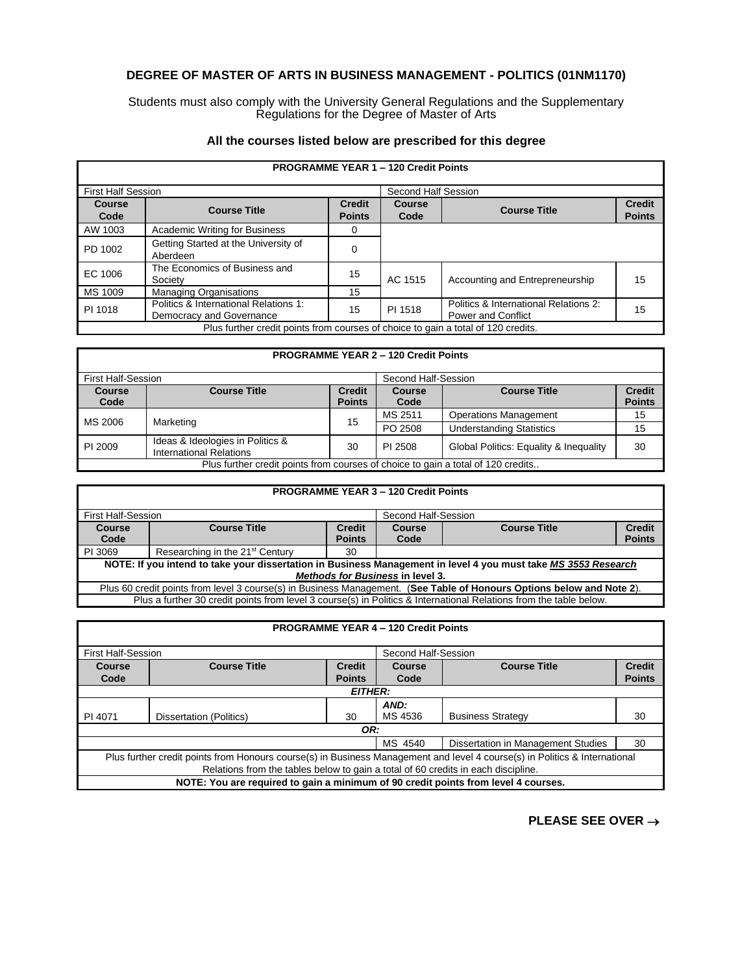## **DEGREE OF MASTER OF ARTS IN BUSINESS MANAGEMENT - POLITICS (01NM1170)**

Students must also comply with the University General Regulations and the Supplementary Regulations for the Degree of Master of Arts

## **All the courses listed below are prescribed for this degree**

| <b>PROGRAMME YEAR 1 - 120 Credit Points</b>                                       |                                                                   |                                |                     |                                                                    |                                |  |
|-----------------------------------------------------------------------------------|-------------------------------------------------------------------|--------------------------------|---------------------|--------------------------------------------------------------------|--------------------------------|--|
| <b>First Half Session</b>                                                         |                                                                   |                                | Second Half Session |                                                                    |                                |  |
| Course<br>Code                                                                    | <b>Course Title</b>                                               | <b>Credit</b><br><b>Points</b> | Course<br>Code      | <b>Course Title</b>                                                | <b>Credit</b><br><b>Points</b> |  |
| AW 1003                                                                           | Academic Writing for Business                                     |                                |                     |                                                                    |                                |  |
| PD 1002                                                                           | Getting Started at the University of<br>Aberdeen                  |                                |                     |                                                                    |                                |  |
| EC 1006                                                                           | The Economics of Business and<br>Society                          | 15                             | AC 1515             | Accounting and Entrepreneurship                                    | 15                             |  |
| MS 1009                                                                           | <b>Managing Organisations</b>                                     | 15                             |                     |                                                                    |                                |  |
| PI 1018                                                                           | Politics & International Relations 1:<br>Democracy and Governance | 15                             | PI 1518             | Politics & International Relations 2:<br><b>Power and Conflict</b> | 15                             |  |
| Plus further credit points from courses of choice to gain a total of 120 credits. |                                                                   |                                |                     |                                                                    |                                |  |

## **PROGRAMME YEAR 2 – 120 Credit Points**

| <b>First Half-Session</b>                                                        |                                                                    |                                | Second Half-Session |                                        |                                |
|----------------------------------------------------------------------------------|--------------------------------------------------------------------|--------------------------------|---------------------|----------------------------------------|--------------------------------|
| <b>Course</b><br>Code                                                            | <b>Course Title</b>                                                | <b>Credit</b><br><b>Points</b> | Course<br>Code      | <b>Course Title</b>                    | <b>Credit</b><br><b>Points</b> |
| MS 2006                                                                          | Marketing                                                          | 15                             | MS 2511             | <b>Operations Management</b>           | 15                             |
|                                                                                  |                                                                    |                                | PO 2508             | <b>Understanding Statistics</b>        | 15                             |
| PI 2009                                                                          | Ideas & Ideologies in Politics &<br><b>International Relations</b> | 30                             | PI 2508             | Global Politics: Equality & Inequality | 30                             |
| Plus further credit points from courses of choice to gain a total of 120 credits |                                                                    |                                |                     |                                        |                                |

| <b>PROGRAMME YEAR 3 - 120 Credit Points</b>                                                                                                               |                                             |                                |                     |                     |                                |  |
|-----------------------------------------------------------------------------------------------------------------------------------------------------------|---------------------------------------------|--------------------------------|---------------------|---------------------|--------------------------------|--|
| First Half-Session                                                                                                                                        |                                             |                                | Second Half-Session |                     |                                |  |
| Course<br>Code                                                                                                                                            | <b>Course Title</b>                         | <b>Credit</b><br><b>Points</b> | Course<br>Code      | <b>Course Title</b> | <b>Credit</b><br><b>Points</b> |  |
| PI 3069                                                                                                                                                   | Researching in the 21 <sup>st</sup> Century | 30                             |                     |                     |                                |  |
| NOTE: If you intend to take your dissertation in Business Management in level 4 you must take MS 3553 Research<br><b>Methods for Business in level 3.</b> |                                             |                                |                     |                     |                                |  |
| Plus 60 credit points from level 3 course(s) in Business Management. (See Table of Honours Options below and Note 2).                                     |                                             |                                |                     |                     |                                |  |
| Plus a further 30 credit points from level 3 course(s) in Politics & International Relations from the table below.                                        |                                             |                                |                     |                     |                                |  |

| <b>PROGRAMME YEAR 4 - 120 Credit Points</b>                                                                                |                                      |               |         |                          |               |  |
|----------------------------------------------------------------------------------------------------------------------------|--------------------------------------|---------------|---------|--------------------------|---------------|--|
|                                                                                                                            | <b>First Half-Session</b>            |               |         | Second Half-Session      |               |  |
| Course                                                                                                                     | <b>Course Title</b><br><b>Credit</b> |               | Course  | <b>Course Title</b>      | <b>Credit</b> |  |
| Code                                                                                                                       |                                      | <b>Points</b> | Code    |                          | <b>Points</b> |  |
| <b>EITHER:</b>                                                                                                             |                                      |               |         |                          |               |  |
|                                                                                                                            |                                      |               | AND:    |                          |               |  |
| PI 4071                                                                                                                    | Dissertation (Politics)              | 30            | MS 4536 | <b>Business Strategy</b> | 30            |  |
| OR:                                                                                                                        |                                      |               |         |                          |               |  |
| MS 4540<br>Dissertation in Management Studies<br>30                                                                        |                                      |               |         |                          |               |  |
| Plus further credit points from Honours course(s) in Business Management and level 4 course(s) in Politics & International |                                      |               |         |                          |               |  |
| Relations from the tables below to gain a total of 60 credits in each discipline.                                          |                                      |               |         |                          |               |  |
| NOTE: You are required to gain a minimum of 90 credit points from level 4 courses.                                         |                                      |               |         |                          |               |  |

**PLEASE SEE OVER** →